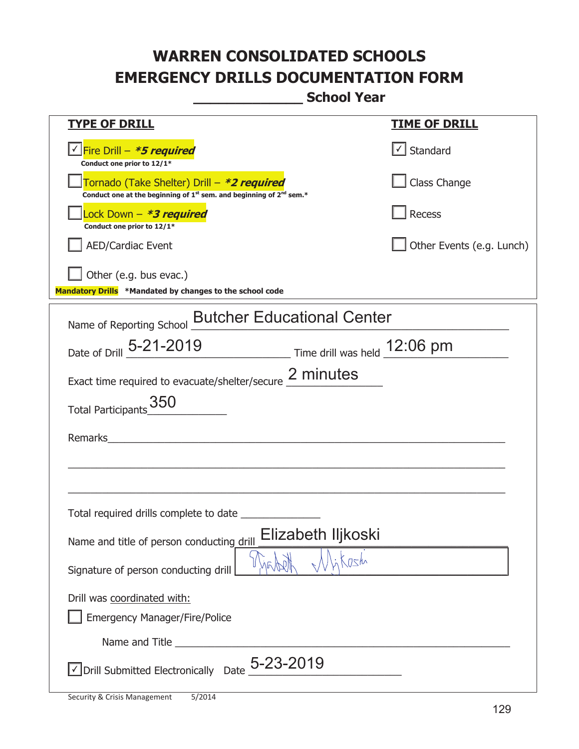**\_\_\_\_\_\_\_\_\_\_\_\_\_ School Year** 

| <u>TYPE OF DRILL</u>                                                                                                                      | <b>TIME OF DRILL</b>              |
|-------------------------------------------------------------------------------------------------------------------------------------------|-----------------------------------|
| <u>√ Fire Drill – <i>*5 required</i></u><br>Conduct one prior to 12/1*                                                                    | $\lfloor \angle \rfloor$ Standard |
| Tornado (Take Shelter) Drill – *2 required<br>Conduct one at the beginning of 1 <sup>st</sup> sem. and beginning of 2 <sup>nd</sup> sem.* | Class Change                      |
| Lock Down - <b>*3 required</b><br>Conduct one prior to 12/1*                                                                              | Recess                            |
| <b>AED/Cardiac Event</b>                                                                                                                  | Other Events (e.g. Lunch)         |
| Other (e.g. bus evac.)<br>Mandatory Drills *Mandated by changes to the school code                                                        |                                   |
| Name of Reporting School <b>Butcher Educational Center</b>                                                                                |                                   |
| Date of Drill 5-21-2019 Time drill was held 12:06 pm                                                                                      |                                   |
| Exact time required to evacuate/shelter/secure 2 minutes                                                                                  |                                   |
| Total Participants_350                                                                                                                    |                                   |
| Remarks<br><u> 1980 - Jan Barbara Barat, margaret eta idazlea (h. 1980).</u>                                                              |                                   |
|                                                                                                                                           |                                   |
|                                                                                                                                           |                                   |
|                                                                                                                                           |                                   |
| Elizabeth Iljkoski<br>Name and title of person conducting drill                                                                           |                                   |
| Krsh<br>Signature of person conducting drill                                                                                              |                                   |
| Drill was coordinated with:                                                                                                               |                                   |
| <b>Emergency Manager/Fire/Police</b>                                                                                                      |                                   |
|                                                                                                                                           |                                   |
| $\vee$ Drill Submitted Electronically Date $_+$ 5-23-2019                                                                                 |                                   |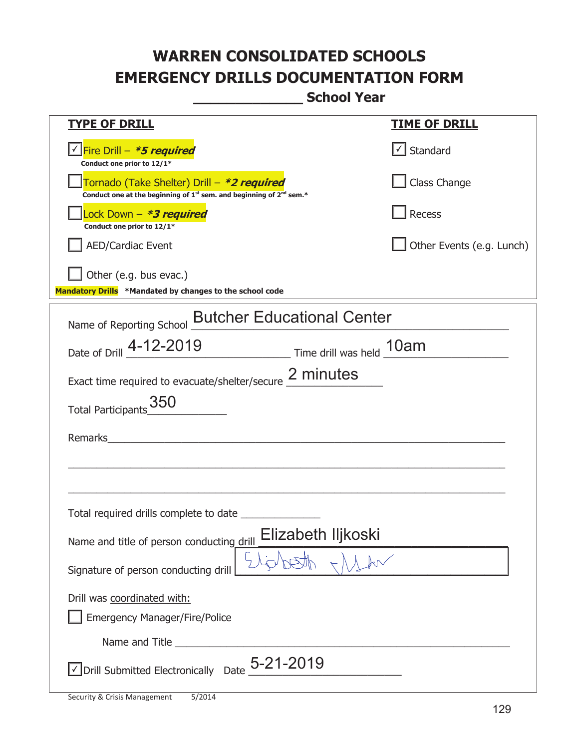**\_\_\_\_\_\_\_\_\_\_\_\_\_ School Year** 

| <b>TYPE OF DRILL</b>                                                                                                                                                    | <b>TIME OF DRILL</b>              |
|-------------------------------------------------------------------------------------------------------------------------------------------------------------------------|-----------------------------------|
| <u>√ Fire Drill – <i>*5 required</i></u>                                                                                                                                | $\lfloor \angle \rfloor$ Standard |
| Conduct one prior to 12/1*<br>Tornado (Take Shelter) Drill – *2 required<br>Conduct one at the beginning of 1 <sup>st</sup> sem. and beginning of 2 <sup>nd</sup> sem.* | Class Change                      |
| Lock Down - *3 required<br>Conduct one prior to 12/1*                                                                                                                   | Recess                            |
| <b>AED/Cardiac Event</b>                                                                                                                                                | Other Events (e.g. Lunch)         |
| Other (e.g. bus evac.)<br>Mandatory Drills *Mandated by changes to the school code                                                                                      |                                   |
| Name of Reporting School <b>Butcher Educational Center</b>                                                                                                              |                                   |
| Date of Drill 4-12-2019 Time drill was held 10am                                                                                                                        |                                   |
| Exact time required to evacuate/shelter/secure 2 minutes                                                                                                                |                                   |
| Total Participants_350                                                                                                                                                  |                                   |
| Remarks<br><u> 1980 - Jan Samuel Barbara, martin di sebagai personal di sebagai personal di sebagai personal di sebagai per</u>                                         |                                   |
|                                                                                                                                                                         |                                   |
|                                                                                                                                                                         |                                   |
|                                                                                                                                                                         |                                   |
| Elizabeth Iljkoski<br>Name and title of person conducting drill                                                                                                         |                                   |
| Signature of person conducting drill                                                                                                                                    |                                   |
| Drill was coordinated with:                                                                                                                                             |                                   |
| <b>Emergency Manager/Fire/Police</b>                                                                                                                                    |                                   |
|                                                                                                                                                                         |                                   |
| $\vee$ Drill Submitted Electronically Date $_+$ 5-21-2019                                                                                                               |                                   |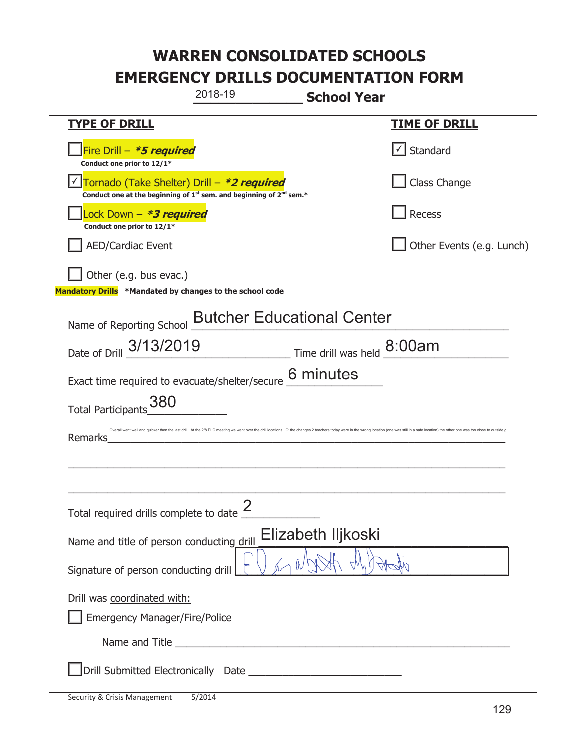|                                                                                    | 2018-19                                                                                                                                                                                                                              | <b>School Year</b>                                                    |                                                                                                                                                                                                                                |
|------------------------------------------------------------------------------------|--------------------------------------------------------------------------------------------------------------------------------------------------------------------------------------------------------------------------------------|-----------------------------------------------------------------------|--------------------------------------------------------------------------------------------------------------------------------------------------------------------------------------------------------------------------------|
| <u>TYPE OF DRILL</u>                                                               |                                                                                                                                                                                                                                      |                                                                       | <u>TIME OF DRILL</u>                                                                                                                                                                                                           |
| Fire Drill - *5 required<br>Conduct one prior to 12/1*                             |                                                                                                                                                                                                                                      |                                                                       | Standard                                                                                                                                                                                                                       |
| Tornado (Take Shelter) Drill – *2 required                                         | Conduct one at the beginning of $1^{st}$ sem. and beginning of $2^{nd}$ sem.*                                                                                                                                                        |                                                                       | Class Change                                                                                                                                                                                                                   |
| Lock Down - *3 required<br>Conduct one prior to 12/1*                              |                                                                                                                                                                                                                                      |                                                                       | Recess                                                                                                                                                                                                                         |
| <b>AED/Cardiac Event</b>                                                           |                                                                                                                                                                                                                                      |                                                                       | Other Events (e.g. Lunch)                                                                                                                                                                                                      |
| Other (e.g. bus evac.)<br>Mandatory Drills *Mandated by changes to the school code |                                                                                                                                                                                                                                      |                                                                       |                                                                                                                                                                                                                                |
| Name of Reporting School                                                           | <b>Butcher Educational Center</b>                                                                                                                                                                                                    |                                                                       |                                                                                                                                                                                                                                |
| Date of Drill 3/13/2019                                                            |                                                                                                                                                                                                                                      | $\frac{8.00}{\text{ m}}$ Time drill was held $\frac{8.00}{\text{ m}}$ |                                                                                                                                                                                                                                |
| Exact time required to evacuate/shelter/secure 6 minutes                           |                                                                                                                                                                                                                                      |                                                                       |                                                                                                                                                                                                                                |
| 380<br><b>Total Participants</b>                                                   |                                                                                                                                                                                                                                      |                                                                       |                                                                                                                                                                                                                                |
| Remarks                                                                            |                                                                                                                                                                                                                                      |                                                                       | Overall went well and quicker then the last drill. At the 2/8 PLC meeting we went over the drill locations. Of the changes 2 teachers today were in the wrong location (one was still in a safe location) the other one was to |
|                                                                                    |                                                                                                                                                                                                                                      |                                                                       |                                                                                                                                                                                                                                |
|                                                                                    | 2                                                                                                                                                                                                                                    |                                                                       |                                                                                                                                                                                                                                |
| Total required drills complete to date $\leq$                                      |                                                                                                                                                                                                                                      |                                                                       |                                                                                                                                                                                                                                |
| Name and title of person conducting drill                                          |                                                                                                                                                                                                                                      | Elizabeth Iljkoski                                                    |                                                                                                                                                                                                                                |
| Signature of person conducting drill                                               |                                                                                                                                                                                                                                      |                                                                       |                                                                                                                                                                                                                                |
| Drill was coordinated with:                                                        |                                                                                                                                                                                                                                      |                                                                       |                                                                                                                                                                                                                                |
| <b>Emergency Manager/Fire/Police</b>                                               |                                                                                                                                                                                                                                      |                                                                       |                                                                                                                                                                                                                                |
|                                                                                    | Name and Title <b>contract the contract of the contract of the contract of the contract of the contract of the contract of the contract of the contract of the contract of the contract of the contract of the contract of the c</b> |                                                                       |                                                                                                                                                                                                                                |
|                                                                                    |                                                                                                                                                                                                                                      |                                                                       |                                                                                                                                                                                                                                |

t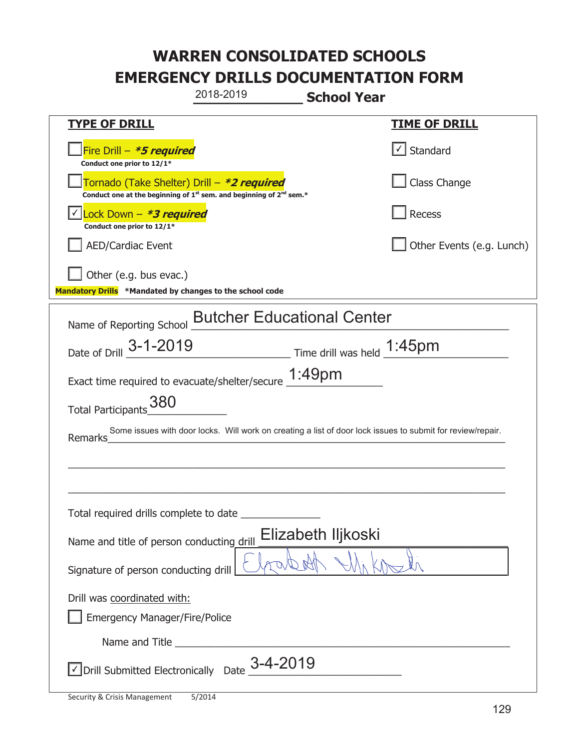| 2018-2019                                                                                                                                 | <b>School Year</b>                                                                                         |
|-------------------------------------------------------------------------------------------------------------------------------------------|------------------------------------------------------------------------------------------------------------|
| <b>TYPE OF DRILL</b>                                                                                                                      | <b>TIME OF DRILL</b>                                                                                       |
| Fire Drill - *5 required<br>Conduct one prior to 12/1*                                                                                    | $\lfloor \checkmark \rfloor$ Standard                                                                      |
| Tornado (Take Shelter) Drill – *2 required<br>Conduct one at the beginning of 1 <sup>st</sup> sem. and beginning of 2 <sup>nd</sup> sem.* | Class Change                                                                                               |
| Lock Down - *3 required<br>Conduct one prior to 12/1*                                                                                     | Recess                                                                                                     |
| <b>AED/Cardiac Event</b>                                                                                                                  | Other Events (e.g. Lunch)                                                                                  |
| Other (e.g. bus evac.)<br>Mandatory Drills *Mandated by changes to the school code                                                        |                                                                                                            |
| Name of Reporting School <b>Butcher Educational Center</b>                                                                                |                                                                                                            |
| Date of Drill 3-1-2019                                                                                                                    | Time drill was held 1:45pm                                                                                 |
| Exact time required to evacuate/shelter/secure 1:49pm                                                                                     |                                                                                                            |
| Total Participants_380                                                                                                                    |                                                                                                            |
| Remarks                                                                                                                                   | Some issues with door locks. Will work on creating a list of door lock issues to submit for review/repair. |
|                                                                                                                                           |                                                                                                            |
|                                                                                                                                           |                                                                                                            |
| Total required drills complete to date                                                                                                    |                                                                                                            |
| Name and title of person conducting drill                                                                                                 | Elizabeth Iljkoski                                                                                         |
| Signature of person conducting drill                                                                                                      |                                                                                                            |
| Drill was coordinated with:                                                                                                               |                                                                                                            |
| Emergency Manager/Fire/Police                                                                                                             |                                                                                                            |
|                                                                                                                                           |                                                                                                            |
| $\sqrt{}$ Drill Submitted Electronically Date $3-4$ -2019                                                                                 |                                                                                                            |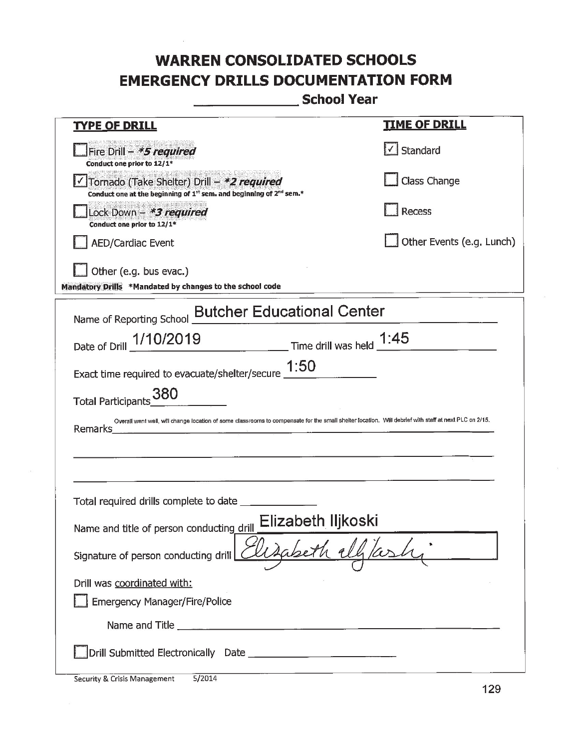School Year

| <b>TYPE OF DRILL</b>                                                                                                                                             | <b>TIME OF DRILL</b>          |  |
|------------------------------------------------------------------------------------------------------------------------------------------------------------------|-------------------------------|--|
| Fire Drill - *5 required<br>Conduct one prior to 12/1*                                                                                                           | $\sqrt{\phantom{a}}$ Standard |  |
| Tornado (Take Shelter) Drill - *2 required<br>Conduct one at the beginning of 1st sem. and beginning of 2nd sem.*                                                | <b>Class Change</b>           |  |
| Lock Down - *3 required<br>Conduct one prior to 12/1*                                                                                                            | Recess                        |  |
| <b>AED/Cardiac Event</b>                                                                                                                                         | Other Events (e.g. Lunch)     |  |
| Other (e.g. bus evac.)<br>Mandatory Drills *Mandated by changes to the school code                                                                               |                               |  |
| Name of Reporting School <b>Butcher Educational Center</b>                                                                                                       |                               |  |
| Date of Drill 1/10/2019 Time drill was held 1:45                                                                                                                 |                               |  |
| Exact time required to evacuate/shelter/secure $\underline{1:}50$                                                                                                |                               |  |
| Total Participants 380                                                                                                                                           |                               |  |
| Overall went well, will change location of some classrooms to compensate for the small shelter location. Will debrief with staff at next PLC on 2/15.<br>Remarks |                               |  |
|                                                                                                                                                                  |                               |  |
|                                                                                                                                                                  |                               |  |
| Total required drills complete to date _                                                                                                                         |                               |  |
| Elizabeth Iljkoski<br>Name and title of person conducting drill                                                                                                  |                               |  |
| Signature of person conducting drill Elizabeth ell                                                                                                               |                               |  |
| Drill was coordinated with:                                                                                                                                      |                               |  |
| <b>Emergency Manager/Fire/Police</b>                                                                                                                             |                               |  |
|                                                                                                                                                                  |                               |  |
|                                                                                                                                                                  |                               |  |

Security & Crisis Management  $\frac{5}{2014}$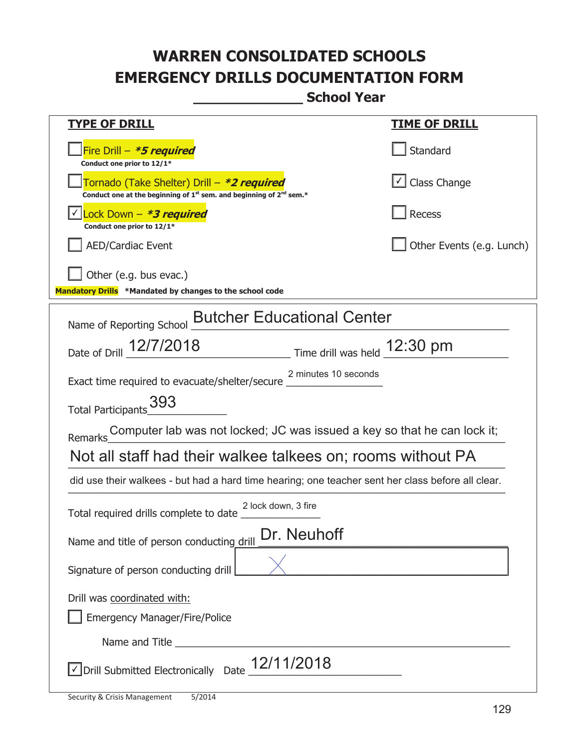**\_\_\_\_\_\_\_\_\_\_\_\_\_ School Year** 

| <u>TYPE OF DRILL</u>                                                                                                                      | <u>TIME OF DRILL</u>      |  |
|-------------------------------------------------------------------------------------------------------------------------------------------|---------------------------|--|
| Fire Drill - *5 required<br>Conduct one prior to 12/1*                                                                                    | Standard                  |  |
| Tornado (Take Shelter) Drill – *2 required<br>Conduct one at the beginning of 1 <sup>st</sup> sem. and beginning of 2 <sup>nd</sup> sem.* | $\bigcup$ Class Change    |  |
| Lock Down - <b>*3 required</b><br>Conduct one prior to 12/1*                                                                              | <b>Recess</b>             |  |
| <b>AED/Cardiac Event</b>                                                                                                                  | Other Events (e.g. Lunch) |  |
| Other (e.g. bus evac.)<br>Mandatory Drills *Mandated by changes to the school code                                                        |                           |  |
| <b>Butcher Educational Center</b><br>Name of Reporting School                                                                             |                           |  |
| Date of Drill 12/7/2018 Time drill was held 12:30 pm                                                                                      |                           |  |
| 2 minutes 10 seconds<br>Exact time required to evacuate/shelter/secure                                                                    |                           |  |
| Total Participants_393                                                                                                                    |                           |  |
|                                                                                                                                           |                           |  |
| Not all staff had their walkee talkees on; rooms without PA                                                                               |                           |  |
| did use their walkees - but had a hard time hearing; one teacher sent her class before all clear.                                         |                           |  |
| 2 lock down, 3 fire                                                                                                                       |                           |  |
| Dr. Neuhoff<br>Name and title of person conducting drill                                                                                  |                           |  |
| Signature of person conducting drill                                                                                                      |                           |  |
| Drill was coordinated with:                                                                                                               |                           |  |
| <b>Emergency Manager/Fire/Police</b>                                                                                                      |                           |  |
|                                                                                                                                           |                           |  |
| $\sqrt{\phantom{a}}$ Drill Submitted Electronically Date $\frac{12}{112018}$                                                              |                           |  |

T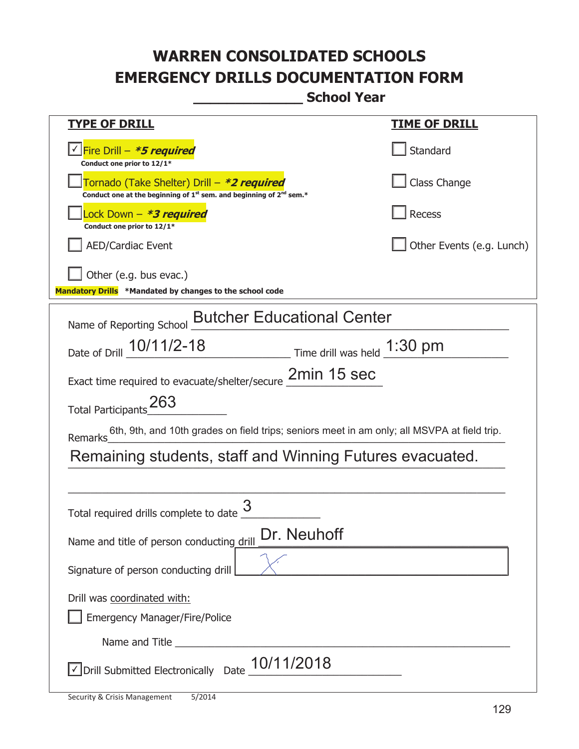**\_\_\_\_\_\_\_\_\_\_\_\_\_ School Year** 

| <u>TYPE OF DRILL</u>                                                                                                        | <u>TIME OF DRILL</u>      |  |
|-----------------------------------------------------------------------------------------------------------------------------|---------------------------|--|
| Fire Drill - <b>*5 required</b><br>Conduct one prior to 12/1*                                                               | Standard                  |  |
| Tornado (Take Shelter) Drill – *2 required<br>Conduct one at the beginning of $1^{st}$ sem. and beginning of $2^{nd}$ sem.* | Class Change              |  |
| ock Down – <b><i>*3 required</i></b><br>Conduct one prior to 12/1*                                                          | <b>Recess</b>             |  |
| <b>AED/Cardiac Event</b>                                                                                                    | Other Events (e.g. Lunch) |  |
| Other (e.g. bus evac.)                                                                                                      |                           |  |
| Mandatory Drills *Mandated by changes to the school code                                                                    |                           |  |
| <b>Butcher Educational Center</b><br>Name of Reporting School                                                               |                           |  |
| $\frac{1.30 \text{ pm}}{2}$ Time drill was held $\frac{1.30 \text{ pm}}{2}$<br>Date of Drill 10/11/2-18                     |                           |  |
| Exact time required to evacuate/shelter/secure 2min 15 sec                                                                  |                           |  |
| 263<br><b>Total Participants</b>                                                                                            |                           |  |
| 6th, 9th, and 10th grades on field trips; seniors meet in am only; all MSVPA at field trip.<br>Remarks                      |                           |  |
| Remaining students, staff and Winning Futures evacuated.                                                                    |                           |  |
|                                                                                                                             |                           |  |
| Total required drills complete to date                                                                                      |                           |  |
| Dr. Neuhoff<br>Name and title of person conducting drill                                                                    |                           |  |
| Signature of person conducting drill                                                                                        |                           |  |
| Drill was coordinated with:                                                                                                 |                           |  |
| <b>Emergency Manager/Fire/Police</b>                                                                                        |                           |  |
|                                                                                                                             |                           |  |
| $\angle$ Drill Submitted Electronically Date $\_10/11/2018$                                                                 |                           |  |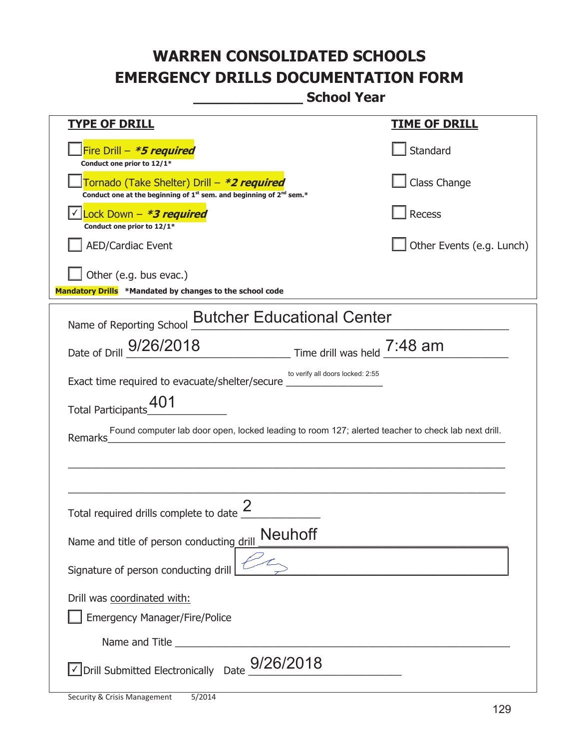**\_\_\_\_\_\_\_\_\_\_\_\_\_ School Year** 

| <u>TYPE OF DRILL</u>                                                                                                                      | <u>TIME OF DRILL</u>      |
|-------------------------------------------------------------------------------------------------------------------------------------------|---------------------------|
| Fire Drill - *5 required<br>Conduct one prior to 12/1*                                                                                    | Standard                  |
| Tornado (Take Shelter) Drill – *2 required<br>Conduct one at the beginning of 1 <sup>st</sup> sem. and beginning of 2 <sup>nd</sup> sem.* | Class Change              |
| Lock Down - *3 required<br>Conduct one prior to 12/1*                                                                                     | Recess                    |
| <b>AED/Cardiac Event</b>                                                                                                                  | Other Events (e.g. Lunch) |
| Other (e.g. bus evac.)                                                                                                                    |                           |
| Mandatory Drills *Mandated by changes to the school code                                                                                  |                           |
| <b>Butcher Educational Center</b><br>Name of Reporting School                                                                             |                           |
| Date of Drill $9/26/2018$ Time drill was held $7:48$ am                                                                                   |                           |
| to verify all doors locked: 2:55<br>Exact time required to evacuate/shelter/secure _________________________________                      |                           |
| 401<br><b>Total Participants</b>                                                                                                          |                           |
| Found computer lab door open, locked leading to room 127; alerted teacher to check lab next drill.<br>Remarks                             |                           |
|                                                                                                                                           |                           |
|                                                                                                                                           |                           |
| Total required drills complete to date                                                                                                    |                           |
| <b>Neuhoff</b><br>Name and title of person conducting drill                                                                               |                           |
| Signature of person conducting drill                                                                                                      |                           |
| Drill was coordinated with:                                                                                                               |                           |
| <b>Emergency Manager/Fire/Police</b>                                                                                                      |                           |
|                                                                                                                                           |                           |
| $\sqrt{\ }$ Drill Submitted Electronically Date $9/26/2018$                                                                               |                           |

T